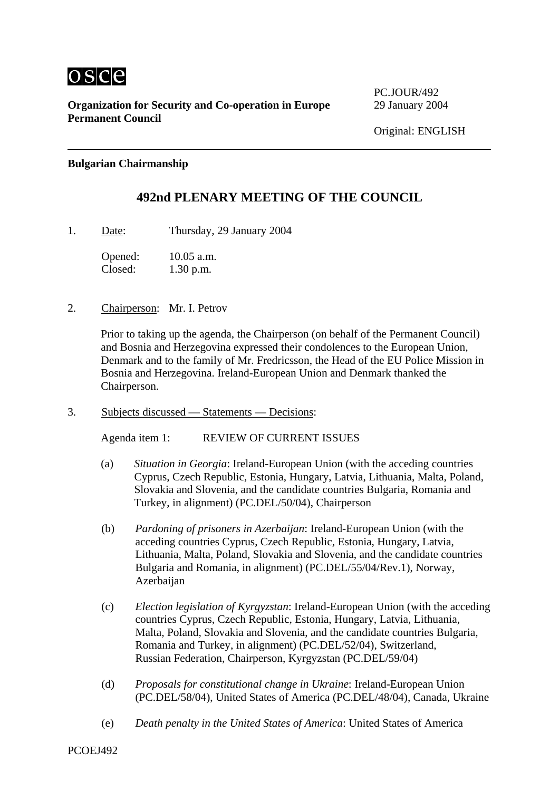

**Organization for Security and Co-operation in Europe** 29 January 2004 **Permanent Council** 

PC.JOUR/492

## **Bulgarian Chairmanship**

# **492nd PLENARY MEETING OF THE COUNCIL**

1. Date: Thursday, 29 January 2004

Opened: 10.05 a.m. Closed: 1.30 p.m.

2. Chairperson: Mr. I. Petrov

Prior to taking up the agenda, the Chairperson (on behalf of the Permanent Council) and Bosnia and Herzegovina expressed their condolences to the European Union, Denmark and to the family of Mr. Fredricsson, the Head of the EU Police Mission in Bosnia and Herzegovina. Ireland-European Union and Denmark thanked the Chairperson.

3. Subjects discussed — Statements — Decisions:

Agenda item 1: REVIEW OF CURRENT ISSUES

- (a) *Situation in Georgia*: Ireland-European Union (with the acceding countries Cyprus, Czech Republic, Estonia, Hungary, Latvia, Lithuania, Malta, Poland, Slovakia and Slovenia, and the candidate countries Bulgaria, Romania and Turkey, in alignment) (PC.DEL/50/04), Chairperson
- (b) *Pardoning of prisoners in Azerbaijan*: Ireland-European Union (with the acceding countries Cyprus, Czech Republic, Estonia, Hungary, Latvia, Lithuania, Malta, Poland, Slovakia and Slovenia, and the candidate countries Bulgaria and Romania, in alignment) (PC.DEL/55/04/Rev.1), Norway, Azerbaijan
- (c) *Election legislation of Kyrgyzstan*: Ireland-European Union (with the acceding countries Cyprus, Czech Republic, Estonia, Hungary, Latvia, Lithuania, Malta, Poland, Slovakia and Slovenia, and the candidate countries Bulgaria, Romania and Turkey, in alignment) (PC.DEL/52/04), Switzerland, Russian Federation, Chairperson, Kyrgyzstan (PC.DEL/59/04)
- (d) *Proposals for constitutional change in Ukraine*: Ireland-European Union (PC.DEL/58/04), United States of America (PC.DEL/48/04), Canada, Ukraine
- (e) *Death penalty in the United States of America*: United States of America

PCOEJ492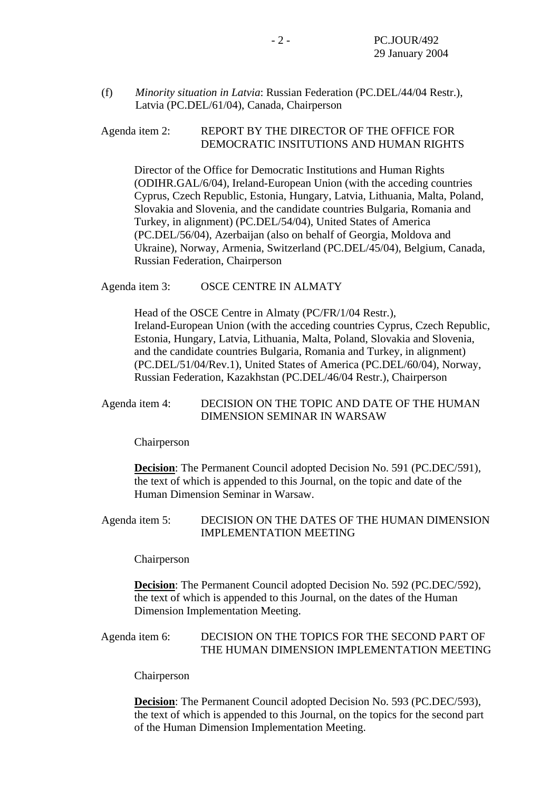(f) *Minority situation in Latvia*: Russian Federation (PC.DEL/44/04 Restr.), Latvia (PC.DEL/61/04), Canada, Chairperson

Agenda item 2: REPORT BY THE DIRECTOR OF THE OFFICE FOR DEMOCRATIC INSITUTIONS AND HUMAN RIGHTS

Director of the Office for Democratic Institutions and Human Rights (ODIHR.GAL/6/04), Ireland-European Union (with the acceding countries Cyprus, Czech Republic, Estonia, Hungary, Latvia, Lithuania, Malta, Poland, Slovakia and Slovenia, and the candidate countries Bulgaria, Romania and Turkey, in alignment) (PC.DEL/54/04), United States of America (PC.DEL/56/04), Azerbaijan (also on behalf of Georgia, Moldova and Ukraine), Norway, Armenia, Switzerland (PC.DEL/45/04), Belgium, Canada, Russian Federation, Chairperson

Agenda item 3: OSCE CENTRE IN ALMATY

Head of the OSCE Centre in Almaty (PC/FR/1/04 Restr.), Ireland-European Union (with the acceding countries Cyprus, Czech Republic, Estonia, Hungary, Latvia, Lithuania, Malta, Poland, Slovakia and Slovenia, and the candidate countries Bulgaria, Romania and Turkey, in alignment) (PC.DEL/51/04/Rev.1), United States of America (PC.DEL/60/04), Norway, Russian Federation, Kazakhstan (PC.DEL/46/04 Restr.), Chairperson

#### Agenda item 4: DECISION ON THE TOPIC AND DATE OF THE HUMAN DIMENSION SEMINAR IN WARSAW

Chairperson

**Decision**: The Permanent Council adopted Decision No. 591 (PC.DEC/591), the text of which is appended to this Journal, on the topic and date of the Human Dimension Seminar in Warsaw.

### Agenda item 5: DECISION ON THE DATES OF THE HUMAN DIMENSION IMPLEMENTATION MEETING

Chairperson

**Decision**: The Permanent Council adopted Decision No. 592 (PC.DEC/592), the text of which is appended to this Journal, on the dates of the Human Dimension Implementation Meeting.

Agenda item 6: DECISION ON THE TOPICS FOR THE SECOND PART OF THE HUMAN DIMENSION IMPLEMENTATION MEETING

Chairperson

**Decision**: The Permanent Council adopted Decision No. 593 (PC.DEC/593), the text of which is appended to this Journal, on the topics for the second part of the Human Dimension Implementation Meeting.